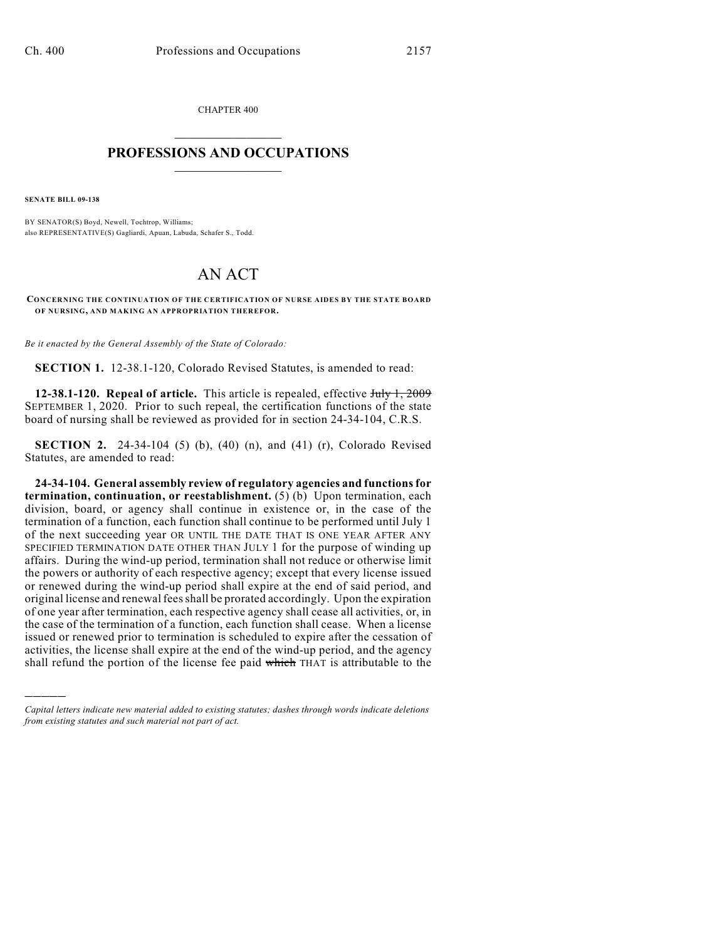CHAPTER 400  $\mathcal{L}_\text{max}$  . The set of the set of the set of the set of the set of the set of the set of the set of the set of the set of the set of the set of the set of the set of the set of the set of the set of the set of the set

## **PROFESSIONS AND OCCUPATIONS**  $\frac{1}{2}$  ,  $\frac{1}{2}$  ,  $\frac{1}{2}$  ,  $\frac{1}{2}$  ,  $\frac{1}{2}$  ,  $\frac{1}{2}$

**SENATE BILL 09-138**

)))))

BY SENATOR(S) Boyd, Newell, Tochtrop, Williams; also REPRESENTATIVE(S) Gagliardi, Apuan, Labuda, Schafer S., Todd.

## AN ACT

**CONCERNING THE CONTINUATION OF THE CERTIFICATION OF NURSE AIDES BY THE STATE BOARD OF NURSING, AND MAKING AN APPROPRIATION THEREFOR.**

*Be it enacted by the General Assembly of the State of Colorado:*

**SECTION 1.** 12-38.1-120, Colorado Revised Statutes, is amended to read:

**12-38.1-120. Repeal of article.** This article is repealed, effective July 1, 2009 SEPTEMBER 1, 2020. Prior to such repeal, the certification functions of the state board of nursing shall be reviewed as provided for in section 24-34-104, C.R.S.

**SECTION 2.** 24-34-104 (5) (b), (40) (n), and (41) (r), Colorado Revised Statutes, are amended to read:

**24-34-104. General assembly review of regulatory agencies and functions for termination, continuation, or reestablishment.** (5) (b) Upon termination, each division, board, or agency shall continue in existence or, in the case of the termination of a function, each function shall continue to be performed until July 1 of the next succeeding year OR UNTIL THE DATE THAT IS ONE YEAR AFTER ANY SPECIFIED TERMINATION DATE OTHER THAN JULY 1 for the purpose of winding up affairs. During the wind-up period, termination shall not reduce or otherwise limit the powers or authority of each respective agency; except that every license issued or renewed during the wind-up period shall expire at the end of said period, and original license and renewal fees shall be prorated accordingly. Upon the expiration of one year after termination, each respective agency shall cease all activities, or, in the case of the termination of a function, each function shall cease. When a license issued or renewed prior to termination is scheduled to expire after the cessation of activities, the license shall expire at the end of the wind-up period, and the agency shall refund the portion of the license fee paid which THAT is attributable to the

*Capital letters indicate new material added to existing statutes; dashes through words indicate deletions from existing statutes and such material not part of act.*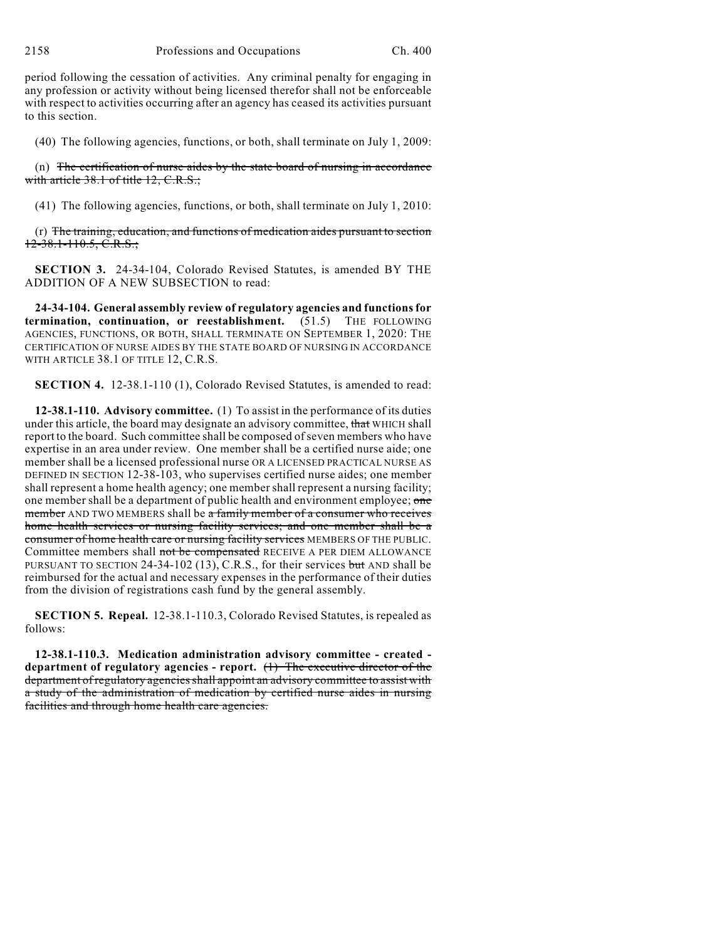period following the cessation of activities. Any criminal penalty for engaging in any profession or activity without being licensed therefor shall not be enforceable with respect to activities occurring after an agency has ceased its activities pursuant to this section.

(40) The following agencies, functions, or both, shall terminate on July 1, 2009:

(n) The certification of nurse aides by the state board of nursing in accordance with article 38.1 of title 12, C.R.S.;

(41) The following agencies, functions, or both, shall terminate on July 1, 2010:

(r) The training, education, and functions of medication aides pursuant to section 12-38.1-110.5, C.R.S.;

**SECTION 3.** 24-34-104, Colorado Revised Statutes, is amended BY THE ADDITION OF A NEW SUBSECTION to read:

**24-34-104. General assembly review of regulatory agencies and functions for termination, continuation, or reestablishment.** (51.5) THE FOLLOWING AGENCIES, FUNCTIONS, OR BOTH, SHALL TERMINATE ON SEPTEMBER 1, 2020: THE CERTIFICATION OF NURSE AIDES BY THE STATE BOARD OF NURSING IN ACCORDANCE WITH ARTICLE 38.1 OF TITLE 12, C.R.S.

**SECTION 4.** 12-38.1-110 (1), Colorado Revised Statutes, is amended to read:

**12-38.1-110. Advisory committee.** (1) To assist in the performance of its duties under this article, the board may designate an advisory committee, that WHICH shall report to the board. Such committee shall be composed of seven members who have expertise in an area under review. One member shall be a certified nurse aide; one member shall be a licensed professional nurse OR A LICENSED PRACTICAL NURSE AS DEFINED IN SECTION 12-38-103, who supervises certified nurse aides; one member shall represent a home health agency; one member shall represent a nursing facility; one member shall be a department of public health and environment employee; one member AND TWO MEMBERS shall be a family member of a consumer who receives home health services or nursing facility services; and one member shall be a consumer of home health care or nursing facility services MEMBERS OF THE PUBLIC. Committee members shall not be compensated RECEIVE A PER DIEM ALLOWANCE PURSUANT TO SECTION 24-34-102 (13), C.R.S., for their services but AND shall be reimbursed for the actual and necessary expenses in the performance of their duties from the division of registrations cash fund by the general assembly.

**SECTION 5. Repeal.** 12-38.1-110.3, Colorado Revised Statutes, is repealed as follows:

**12-38.1-110.3. Medication administration advisory committee - created department of regulatory agencies - report.** (1) The executive director of the department of regulatory agencies shall appoint an advisory committee to assist with a study of the administration of medication by certified nurse aides in nursing facilities and through home health care agencies.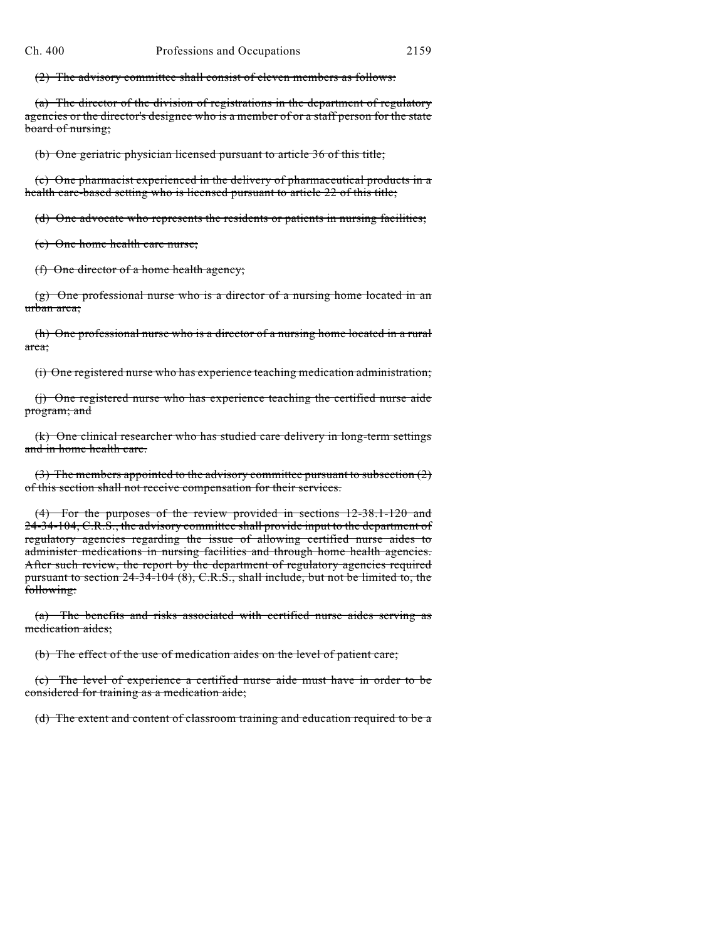(2) The advisory committee shall consist of eleven members as follows:

(a) The director of the division of registrations in the department of regulatory agencies or the director's designee who is a member of or a staff person for the state board of nursing;

(b) One geriatric physician licensed pursuant to article 36 of this title;

(c) One pharmacist experienced in the delivery of pharmaceutical products in a health care-based setting who is licensed pursuant to article 22 of this title;

(d) One advocate who represents the residents or patients in nursing facilities;

(e) One home health care nurse;

(f) One director of a home health agency;

(g) One professional nurse who is a director of a nursing home located in an urban area;

(h) One professional nurse who is a director of a nursing home located in a rural area;

(i) One registered nurse who has experience teaching medication administration;

(j) One registered nurse who has experience teaching the certified nurse aide program; and

(k) One clinical researcher who has studied care delivery in long-term settings and in home health care.

(3) The members appointed to the advisory committee pursuant to subsection  $(2)$ of this section shall not receive compensation for their services.

(4) For the purposes of the review provided in sections 12-38.1-120 and 24-34-104, C.R.S., the advisory committee shall provide input to the department of regulatory agencies regarding the issue of allowing certified nurse aides to administer medications in nursing facilities and through home health agencies. After such review, the report by the department of regulatory agencies required pursuant to section 24-34-104 (8), C.R.S., shall include, but not be limited to, the following:

(a) The benefits and risks associated with certified nurse aides serving as medication aides;

(b) The effect of the use of medication aides on the level of patient care;

(c) The level of experience a certified nurse aide must have in order to be considered for training as a medication aide;

(d) The extent and content of classroom training and education required to be a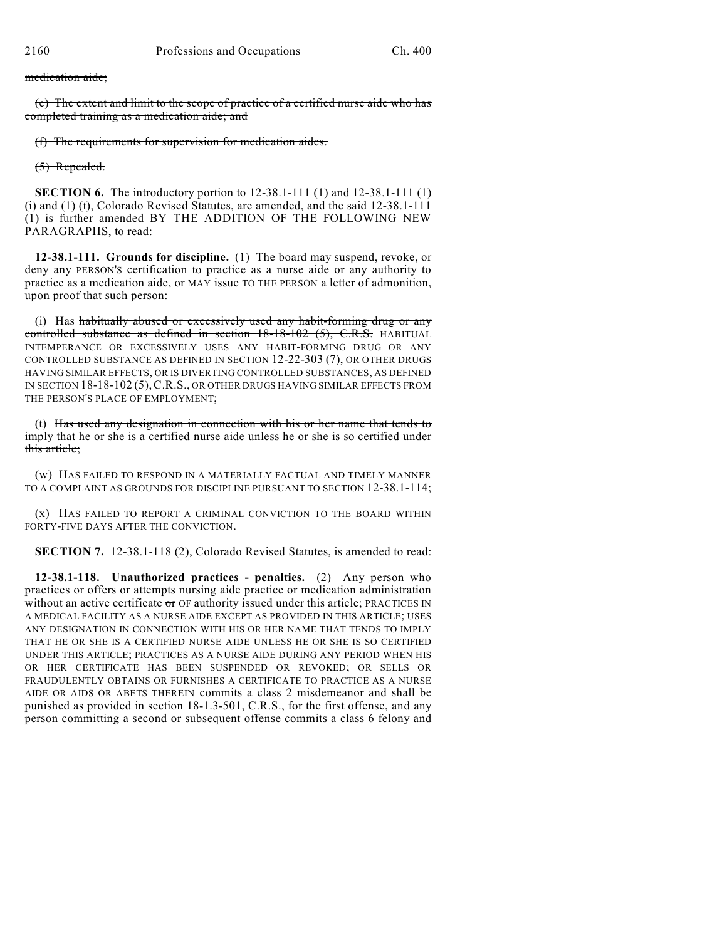## medication aide;

(e) The extent and limit to the scope of practice of a certified nurse aide who has completed training as a medication aide; and

(f) The requirements for supervision for medication aides.

## (5) Repealed.

**SECTION 6.** The introductory portion to 12-38.1-111 (1) and 12-38.1-111 (1) (i) and (1) (t), Colorado Revised Statutes, are amended, and the said 12-38.1-111 (1) is further amended BY THE ADDITION OF THE FOLLOWING NEW PARAGRAPHS, to read:

**12-38.1-111. Grounds for discipline.** (1) The board may suspend, revoke, or deny any PERSON'S certification to practice as a nurse aide or any authority to practice as a medication aide, or MAY issue TO THE PERSON a letter of admonition, upon proof that such person:

(i) Has habitually abused or excessively used any habit-forming drug or any controlled substance as defined in section 18-18-102 (5), C.R.S. HABITUAL INTEMPERANCE OR EXCESSIVELY USES ANY HABIT-FORMING DRUG OR ANY CONTROLLED SUBSTANCE AS DEFINED IN SECTION 12-22-303 (7), OR OTHER DRUGS HAVING SIMILAR EFFECTS, OR IS DIVERTING CONTROLLED SUBSTANCES, AS DEFINED IN SECTION 18-18-102 (5),C.R.S., OR OTHER DRUGS HAVING SIMILAR EFFECTS FROM THE PERSON'S PLACE OF EMPLOYMENT;

(t) Has used any designation in connection with his or her name that tends to imply that he or she is a certified nurse aide unless he or she is so certified under this article;

(w) HAS FAILED TO RESPOND IN A MATERIALLY FACTUAL AND TIMELY MANNER TO A COMPLAINT AS GROUNDS FOR DISCIPLINE PURSUANT TO SECTION 12-38.1-114;

(x) HAS FAILED TO REPORT A CRIMINAL CONVICTION TO THE BOARD WITHIN FORTY-FIVE DAYS AFTER THE CONVICTION.

**SECTION 7.** 12-38.1-118 (2), Colorado Revised Statutes, is amended to read:

**12-38.1-118. Unauthorized practices - penalties.** (2) Any person who practices or offers or attempts nursing aide practice or medication administration without an active certificate  $\sigma r$  OF authority issued under this article; PRACTICES IN A MEDICAL FACILITY AS A NURSE AIDE EXCEPT AS PROVIDED IN THIS ARTICLE; USES ANY DESIGNATION IN CONNECTION WITH HIS OR HER NAME THAT TENDS TO IMPLY THAT HE OR SHE IS A CERTIFIED NURSE AIDE UNLESS HE OR SHE IS SO CERTIFIED UNDER THIS ARTICLE; PRACTICES AS A NURSE AIDE DURING ANY PERIOD WHEN HIS OR HER CERTIFICATE HAS BEEN SUSPENDED OR REVOKED; OR SELLS OR FRAUDULENTLY OBTAINS OR FURNISHES A CERTIFICATE TO PRACTICE AS A NURSE AIDE OR AIDS OR ABETS THEREIN commits a class 2 misdemeanor and shall be punished as provided in section 18-1.3-501, C.R.S., for the first offense, and any person committing a second or subsequent offense commits a class 6 felony and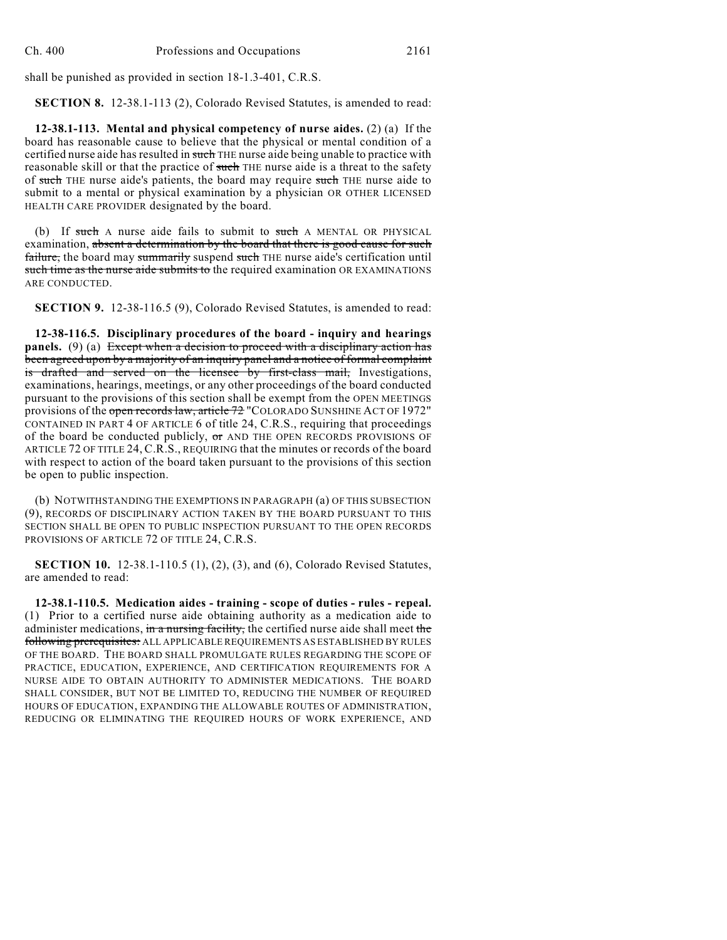shall be punished as provided in section 18-1.3-401, C.R.S.

**SECTION 8.** 12-38.1-113 (2), Colorado Revised Statutes, is amended to read:

**12-38.1-113. Mental and physical competency of nurse aides.** (2) (a) If the board has reasonable cause to believe that the physical or mental condition of a certified nurse aide has resulted in such THE nurse aide being unable to practice with reasonable skill or that the practice of such THE nurse aide is a threat to the safety of such THE nurse aide's patients, the board may require such THE nurse aide to submit to a mental or physical examination by a physician OR OTHER LICENSED HEALTH CARE PROVIDER designated by the board.

(b) If such A nurse aide fails to submit to such A MENTAL OR PHYSICAL examination, absent a determination by the board that there is good cause for such failure, the board may summarily suspend such THE nurse aide's certification until such time as the nurse aide submits to the required examination OR EXAMINATIONS ARE CONDUCTED.

**SECTION 9.** 12-38-116.5 (9), Colorado Revised Statutes, is amended to read:

**12-38-116.5. Disciplinary procedures of the board - inquiry and hearings panels.** (9) (a) Except when a decision to proceed with a disciplinary action has been agreed upon by a majority of an inquiry panel and a notice of formal complaint is drafted and served on the licensee by first-class mail, Investigations, examinations, hearings, meetings, or any other proceedings of the board conducted pursuant to the provisions of this section shall be exempt from the OPEN MEETINGS provisions of the open records law, article 72 "COLORADO SUNSHINE ACT OF 1972" CONTAINED IN PART 4 OF ARTICLE 6 of title 24, C.R.S., requiring that proceedings of the board be conducted publicly, or AND THE OPEN RECORDS PROVISIONS OF ARTICLE 72 OF TITLE 24, C.R.S., REQUIRING that the minutes or records of the board with respect to action of the board taken pursuant to the provisions of this section be open to public inspection.

(b) NOTWITHSTANDING THE EXEMPTIONS IN PARAGRAPH (a) OF THIS SUBSECTION (9), RECORDS OF DISCIPLINARY ACTION TAKEN BY THE BOARD PURSUANT TO THIS SECTION SHALL BE OPEN TO PUBLIC INSPECTION PURSUANT TO THE OPEN RECORDS PROVISIONS OF ARTICLE 72 OF TITLE 24, C.R.S.

**SECTION 10.** 12-38.1-110.5 (1), (2), (3), and (6), Colorado Revised Statutes, are amended to read:

**12-38.1-110.5. Medication aides - training - scope of duties - rules - repeal.** (1) Prior to a certified nurse aide obtaining authority as a medication aide to administer medications, in a nursing facility, the certified nurse aide shall meet the following prerequisites: ALL APPLICABLE REQUIREMENTS AS ESTABLISHED BY RULES OF THE BOARD. THE BOARD SHALL PROMULGATE RULES REGARDING THE SCOPE OF PRACTICE, EDUCATION, EXPERIENCE, AND CERTIFICATION REQUIREMENTS FOR A NURSE AIDE TO OBTAIN AUTHORITY TO ADMINISTER MEDICATIONS. THE BOARD SHALL CONSIDER, BUT NOT BE LIMITED TO, REDUCING THE NUMBER OF REQUIRED HOURS OF EDUCATION, EXPANDING THE ALLOWABLE ROUTES OF ADMINISTRATION, REDUCING OR ELIMINATING THE REQUIRED HOURS OF WORK EXPERIENCE, AND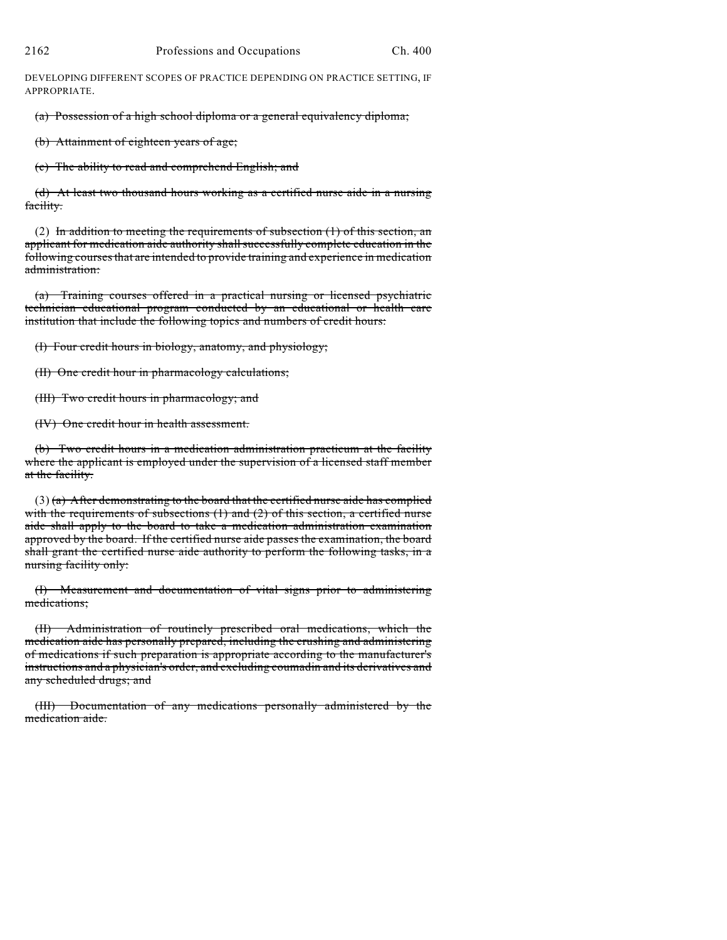DEVELOPING DIFFERENT SCOPES OF PRACTICE DEPENDING ON PRACTICE SETTING, IF APPROPRIATE.

(a) Possession of a high school diploma or a general equivalency diploma;

(b) Attainment of eighteen years of age;

(c) The ability to read and comprehend English; and

(d) At least two thousand hours working as a certified nurse aide in a nursing facility.

(2) In addition to meeting the requirements of subsection  $(1)$  of this section, an applicant for medication aide authority shallsuccessfully complete education in the following courses that are intended to provide training and experience in medication administration:

(a) Training courses offered in a practical nursing or licensed psychiatric technician educational program conducted by an educational or health care institution that include the following topics and numbers of credit hours:

(I) Four credit hours in biology, anatomy, and physiology;

(II) One credit hour in pharmacology calculations;

(III) Two credit hours in pharmacology; and

(IV) One credit hour in health assessment.

(b) Two credit hours in a medication administration practicum at the facility where the applicant is employed under the supervision of a licensed staff member at the facility.

 $(3)$  (a) After demonstrating to the board that the certified nurse aide has complied with the requirements of subsections  $(1)$  and  $(2)$  of this section, a certified nurse aide shall apply to the board to take a medication administration examination approved by the board. If the certified nurse aide passes the examination, the board shall grant the certified nurse aide authority to perform the following tasks, in a nursing facility only:

(I) Measurement and documentation of vital signs prior to administering medications;

(II) Administration of routinely prescribed oral medications, which the medication aide has personally prepared, including the crushing and administering of medications if such preparation is appropriate according to the manufacturer's instructions and a physician's order, and excluding coumadin and its derivatives and any scheduled drugs; and

(III) Documentation of any medications personally administered by the medication aide.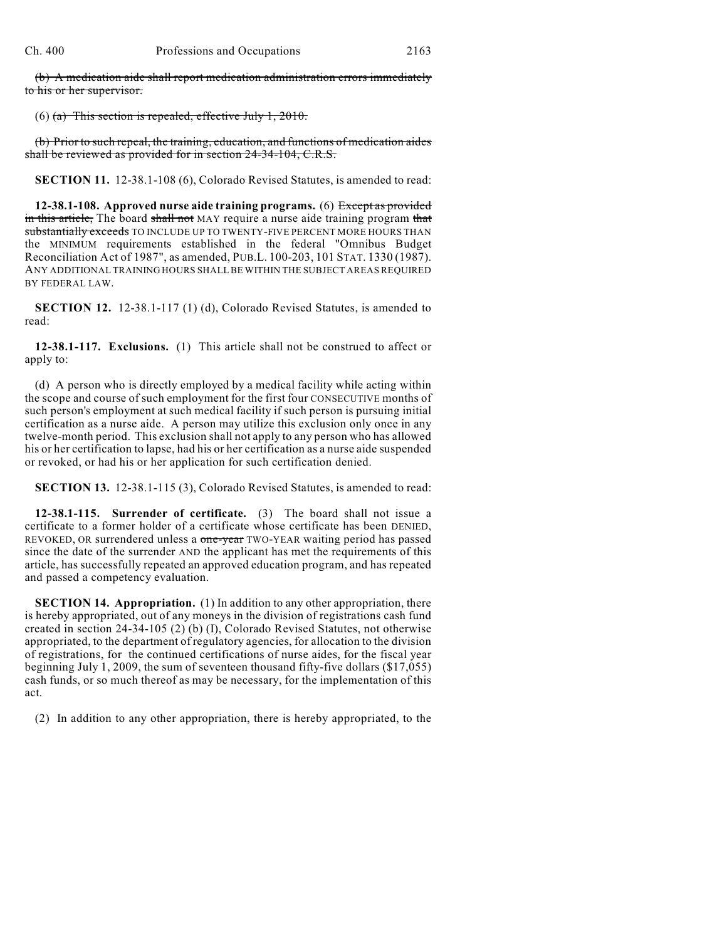(b) A medication aide shall report medication administration errors immediately to his or her supervisor.

(6) (a) This section is repealed, effective July 1, 2010.

(b) Prior to such repeal, the training, education, and functions of medication aides shall be reviewed as provided for in section 24-34-104, C.R.S.

**SECTION 11.** 12-38.1-108 (6), Colorado Revised Statutes, is amended to read:

**12-38.1-108. Approved nurse aide training programs.** (6) Except as provided in this article. The board shall not MAY require a nurse aide training program that substantially exceeds TO INCLUDE UP TO TWENTY-FIVE PERCENT MORE HOURS THAN the MINIMUM requirements established in the federal "Omnibus Budget Reconciliation Act of 1987", as amended, PUB.L. 100-203, 101 STAT. 1330 (1987). ANY ADDITIONAL TRAINING HOURS SHALL BE WITHIN THE SUBJECT AREAS REQUIRED BY FEDERAL LAW.

**SECTION 12.** 12-38.1-117 (1) (d), Colorado Revised Statutes, is amended to read:

**12-38.1-117. Exclusions.** (1) This article shall not be construed to affect or apply to:

(d) A person who is directly employed by a medical facility while acting within the scope and course of such employment for the first four CONSECUTIVE months of such person's employment at such medical facility if such person is pursuing initial certification as a nurse aide. A person may utilize this exclusion only once in any twelve-month period. This exclusion shall not apply to any person who has allowed his or her certification to lapse, had his or her certification as a nurse aide suspended or revoked, or had his or her application for such certification denied.

**SECTION 13.** 12-38.1-115 (3), Colorado Revised Statutes, is amended to read:

**12-38.1-115. Surrender of certificate.** (3) The board shall not issue a certificate to a former holder of a certificate whose certificate has been DENIED, REVOKED, OR surrendered unless a one-year TWO-YEAR waiting period has passed since the date of the surrender AND the applicant has met the requirements of this article, has successfully repeated an approved education program, and has repeated and passed a competency evaluation.

**SECTION 14. Appropriation.** (1) In addition to any other appropriation, there is hereby appropriated, out of any moneys in the division of registrations cash fund created in section 24-34-105 (2) (b) (I), Colorado Revised Statutes, not otherwise appropriated, to the department of regulatory agencies, for allocation to the division of registrations, for the continued certifications of nurse aides, for the fiscal year beginning July 1, 2009, the sum of seventeen thousand fifty-five dollars (\$17,055) cash funds, or so much thereof as may be necessary, for the implementation of this act.

(2) In addition to any other appropriation, there is hereby appropriated, to the